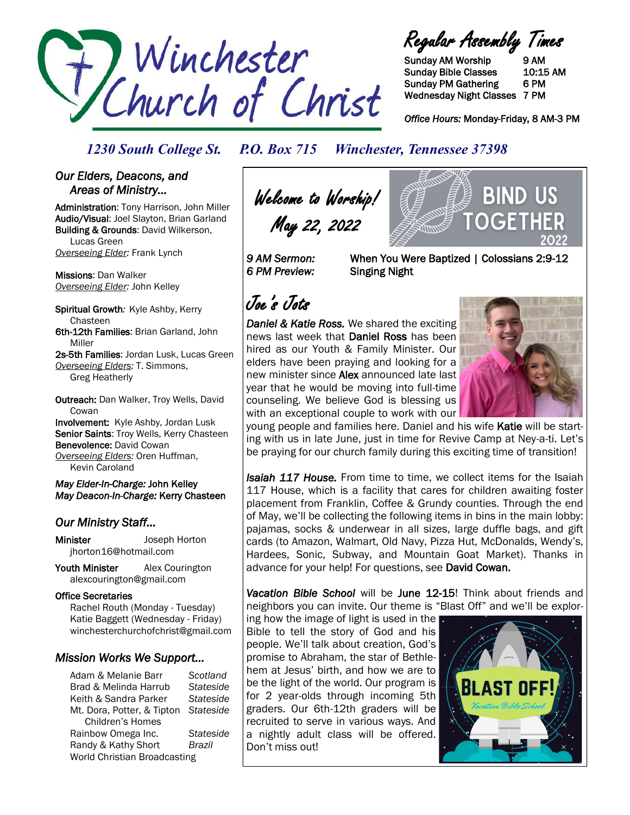

Regular Assembly Times

Sunday AM Worship 9 AM Sunday Bible Classes 10:15 AM Sunday PM Gathering 6 PM Wednesday Night Classes 7 PM

*Office Hours:* Monday-Friday, 8 AM-3 PM

*1230 South College St. P.O. Box 715 Winchester, Tennessee 37398*

### *Our Elders, Deacons, and Areas of Ministry…*

Administration: Tony Harrison, John Miller Audio/Visual: Joel Slayton, Brian Garland Building & Grounds: David Wilkerson, Lucas Green *Overseeing Elder:* Frank Lynch

Missions: Dan Walker *Overseeing Elder:* John Kelley

Spiritual Growth*:* Kyle Ashby, Kerry Chasteen 6th-12th Families: Brian Garland, John

Miller

2s-5th Families: Jordan Lusk, Lucas Green *Overseeing Elders:* T. Simmons, Greg Heatherly

Outreach: Dan Walker, Troy Wells, David **Cowan** Involvement: Kyle Ashby, Jordan Lusk Senior Saints: Troy Wells, Kerry Chasteen Benevolence: David Cowan

*Overseeing Elders:* Oren Huffman, Kevin Caroland

*May Elder-In-Charge:* John Kelley *May Deacon-In-Charge:* Kerry Chasteen

### *Our Ministry Staff…*

Minister Joseph Horton jhorton16@hotmail.com

Youth Minister Alex Courington alexcourington@gmail.com

### Office Secretaries

 Rachel Routh (Monday - Tuesday) Katie Baggett (Wednesday - Friday) winchesterchurchofchrist@gmail.com

### *Mission Works We Support…*

Adam & Melanie Barr *Scotland* Brad & Melinda Harrub *Stateside* Keith & Sandra Parker *Stateside* Mt. Dora, Potter, & Tipton *Stateside* Children's Homes Rainbow Omega Inc. *Stateside* Randy & Kathy Short *Brazil* World Christian Broadcasting

Welcome to Worship! May 22, 2022

*6 PM Preview:* Singing Night

*9 AM Sermon:* When You Were Baptized | Colossians 2:9-12

# Joe's Jots

*Daniel & Katie Ross.* We shared the exciting news last week that Daniel Ross has been hired as our Youth & Family Minister. Our elders have been praying and looking for a new minister since Alex announced late last year that he would be moving into full-time counseling. We believe God is blessing us with an exceptional couple to work with our



BIND US

young people and families here. Daniel and his wife Katie will be starting with us in late June, just in time for Revive Camp at Ney-a-ti. Let's be praying for our church family during this exciting time of transition!

*Isaiah 117 House.* From time to time, we collect items for the Isaiah 117 House, which is a facility that cares for children awaiting foster placement from Franklin, Coffee & Grundy counties. Through the end of May, we'll be collecting the following items in bins in the main lobby: pajamas, socks & underwear in all sizes, large duffle bags, and gift cards (to Amazon, Walmart, Old Navy, Pizza Hut, McDonalds, Wendy's, Hardees, Sonic, Subway, and Mountain Goat Market). Thanks in advance for your help! For questions, see David Cowan.

*Vacation Bible School* will be June 12-15! Think about friends and neighbors you can invite. Our theme is "Blast Off" and we'll be explor-

ing how the image of light is used in the Bible to tell the story of God and his people. We'll talk about creation, God's promise to Abraham, the star of Bethlehem at Jesus' birth, and how we are to be the light of the world. Our program is for 2 year-olds through incoming 5th graders. Our 6th-12th graders will be recruited to serve in various ways. And a nightly adult class will be offered. Don't miss out!